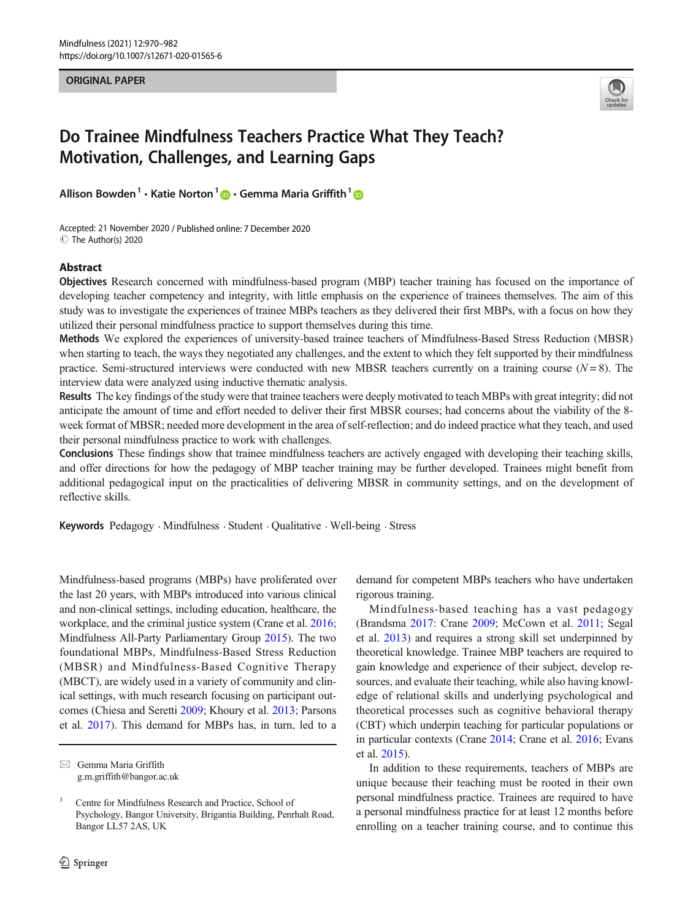ORIGINAL PAPER



# Do Trainee Mindfulness Teachers Practice What They Teach? Motivation, Challenges, and Learning Gaps

Allison Bowden<sup>1</sup> • Katie Norton<sup>1</sup>  $\bullet$  • Gemma Maria Griffith<sup>1</sup>  $\bullet$ 

Accepted: 21 November 2020 / Published online: 7 December 2020 C The Author(s) 2020

## Abstract

Objectives Research concerned with mindfulness-based program (MBP) teacher training has focused on the importance of developing teacher competency and integrity, with little emphasis on the experience of trainees themselves. The aim of this study was to investigate the experiences of trainee MBPs teachers as they delivered their first MBPs, with a focus on how they utilized their personal mindfulness practice to support themselves during this time.

Methods We explored the experiences of university-based trainee teachers of Mindfulness-Based Stress Reduction (MBSR) when starting to teach, the ways they negotiated any challenges, and the extent to which they felt supported by their mindfulness practice. Semi-structured interviews were conducted with new MBSR teachers currently on a training course  $(N=8)$ . The interview data were analyzed using inductive thematic analysis.

Results The key findings of the study were that trainee teachers were deeply motivated to teach MBPs with great integrity; did not anticipate the amount of time and effort needed to deliver their first MBSR courses; had concerns about the viability of the 8 week format of MBSR; needed more development in the area of self-reflection; and do indeed practice what they teach, and used their personal mindfulness practice to work with challenges.

Conclusions These findings show that trainee mindfulness teachers are actively engaged with developing their teaching skills, and offer directions for how the pedagogy of MBP teacher training may be further developed. Trainees might benefit from additional pedagogical input on the practicalities of delivering MBSR in community settings, and on the development of reflective skills.

Keywords Pedagogy . Mindfulness . Student . Qualitative . Well-being . Stress

Mindfulness-based programs (MBPs) have proliferated over the last 20 years, with MBPs introduced into various clinical and non-clinical settings, including education, healthcare, the workplace, and the criminal justice system (Crane et al. [2016](#page-12-0); Mindfulness All-Party Parliamentary Group [2015](#page-12-0)). The two foundational MBPs, Mindfulness-Based Stress Reduction (MBSR) and Mindfulness-Based Cognitive Therapy (MBCT), are widely used in a variety of community and clinical settings, with much research focusing on participant outcomes (Chiesa and Seretti [2009;](#page-12-0) Khoury et al. [2013;](#page-12-0) Parsons et al. [2017](#page-12-0)). This demand for MBPs has, in turn, led to a demand for competent MBPs teachers who have undertaken rigorous training.

Mindfulness-based teaching has a vast pedagogy (Brandsma [2017:](#page-11-0) Crane [2009;](#page-12-0) McCown et al. [2011](#page-12-0); Segal et al. [2013\)](#page-12-0) and requires a strong skill set underpinned by theoretical knowledge. Trainee MBP teachers are required to gain knowledge and experience of their subject, develop resources, and evaluate their teaching, while also having knowledge of relational skills and underlying psychological and theoretical processes such as cognitive behavioral therapy (CBT) which underpin teaching for particular populations or in particular contexts (Crane [2014;](#page-12-0) Crane et al. [2016;](#page-12-0) Evans et al. [2015](#page-12-0)).

In addition to these requirements, teachers of MBPs are unique because their teaching must be rooted in their own personal mindfulness practice. Trainees are required to have a personal mindfulness practice for at least 12 months before enrolling on a teacher training course, and to continue this

 $\boxtimes$  Gemma Maria Griffith [g.m.griffith@bangor.ac.uk](mailto:g.m.griffith@bangor.ac.uk)

<sup>&</sup>lt;sup>1</sup> Centre for Mindfulness Research and Practice, School of Psychology, Bangor University, Brigantia Building, Penrhalt Road, Bangor LL57 2AS, UK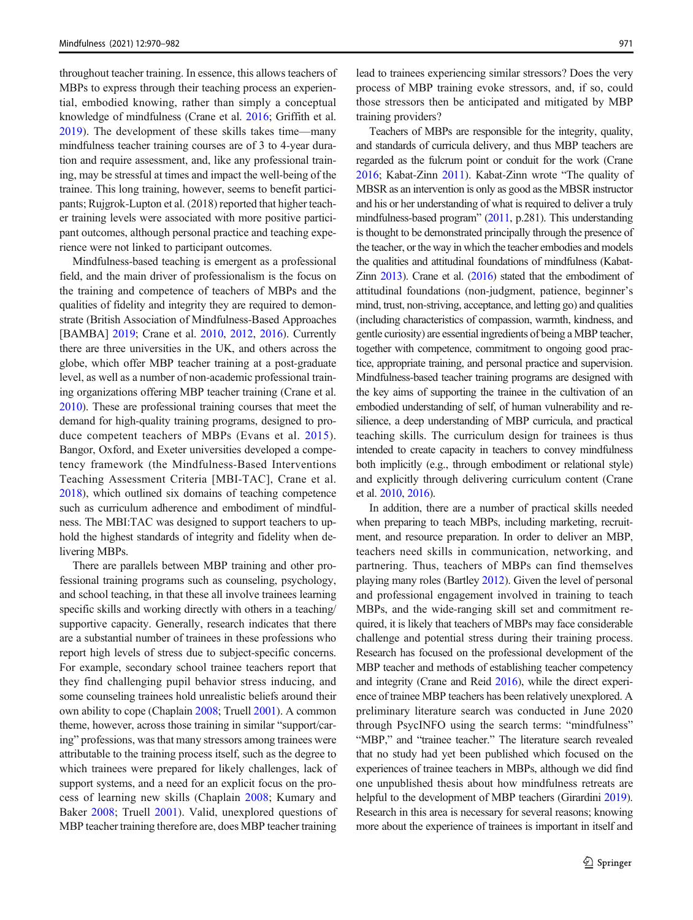throughout teacher training. In essence, this allows teachers of MBPs to express through their teaching process an experiential, embodied knowing, rather than simply a conceptual knowledge of mindfulness (Crane et al. [2016](#page-12-0); Griffith et al. [2019](#page-12-0)). The development of these skills takes time—many mindfulness teacher training courses are of 3 to 4-year duration and require assessment, and, like any professional training, may be stressful at times and impact the well-being of the trainee. This long training, however, seems to benefit participants; Rujgrok-Lupton et al. (2018) reported that higher teacher training levels were associated with more positive participant outcomes, although personal practice and teaching experience were not linked to participant outcomes.

Mindfulness-based teaching is emergent as a professional field, and the main driver of professionalism is the focus on the training and competence of teachers of MBPs and the qualities of fidelity and integrity they are required to demonstrate (British Association of Mindfulness-Based Approaches [BAMBA] [2019](#page-11-0); Crane et al. [2010](#page-12-0), [2012,](#page-12-0) [2016\)](#page-12-0). Currently there are three universities in the UK, and others across the globe, which offer MBP teacher training at a post-graduate level, as well as a number of non-academic professional training organizations offering MBP teacher training (Crane et al. [2010\)](#page-12-0). These are professional training courses that meet the demand for high-quality training programs, designed to produce competent teachers of MBPs (Evans et al. [2015](#page-12-0)). Bangor, Oxford, and Exeter universities developed a competency framework (the Mindfulness-Based Interventions Teaching Assessment Criteria [MBI-TAC], Crane et al. [2018\)](#page-12-0), which outlined six domains of teaching competence such as curriculum adherence and embodiment of mindfulness. The MBI:TAC was designed to support teachers to uphold the highest standards of integrity and fidelity when delivering MBPs.

There are parallels between MBP training and other professional training programs such as counseling, psychology, and school teaching, in that these all involve trainees learning specific skills and working directly with others in a teaching/ supportive capacity. Generally, research indicates that there are a substantial number of trainees in these professions who report high levels of stress due to subject-specific concerns. For example, secondary school trainee teachers report that they find challenging pupil behavior stress inducing, and some counseling trainees hold unrealistic beliefs around their own ability to cope (Chaplain [2008](#page-12-0); Truell [2001\)](#page-12-0). A common theme, however, across those training in similar "support/caring" professions, was that many stressors among trainees were attributable to the training process itself, such as the degree to which trainees were prepared for likely challenges, lack of support systems, and a need for an explicit focus on the process of learning new skills (Chaplain [2008](#page-12-0); Kumary and Baker [2008;](#page-12-0) Truell [2001](#page-12-0)). Valid, unexplored questions of MBP teacher training therefore are, does MBP teacher training

lead to trainees experiencing similar stressors? Does the very process of MBP training evoke stressors, and, if so, could those stressors then be anticipated and mitigated by MBP training providers?

Teachers of MBPs are responsible for the integrity, quality, and standards of curricula delivery, and thus MBP teachers are regarded as the fulcrum point or conduit for the work (Crane [2016;](#page-12-0) Kabat-Zinn [2011\)](#page-12-0). Kabat-Zinn wrote "The quality of MBSR as an intervention is only as good as the MBSR instructor and his or her understanding of what is required to deliver a truly mindfulness-based program" [\(2011](#page-12-0), p.281). This understanding is thought to be demonstrated principally through the presence of the teacher, or the way in which the teacher embodies and models the qualities and attitudinal foundations of mindfulness (Kabat-Zinn [2013\)](#page-12-0). Crane et al. [\(2016\)](#page-12-0) stated that the embodiment of attitudinal foundations (non-judgment, patience, beginner's mind, trust, non-striving, acceptance, and letting go) and qualities (including characteristics of compassion, warmth, kindness, and gentle curiosity) are essential ingredients of being a MBP teacher, together with competence, commitment to ongoing good practice, appropriate training, and personal practice and supervision. Mindfulness-based teacher training programs are designed with the key aims of supporting the trainee in the cultivation of an embodied understanding of self, of human vulnerability and resilience, a deep understanding of MBP curricula, and practical teaching skills. The curriculum design for trainees is thus intended to create capacity in teachers to convey mindfulness both implicitly (e.g., through embodiment or relational style) and explicitly through delivering curriculum content (Crane et al. [2010](#page-12-0), [2016](#page-12-0)).

In addition, there are a number of practical skills needed when preparing to teach MBPs, including marketing, recruitment, and resource preparation. In order to deliver an MBP, teachers need skills in communication, networking, and partnering. Thus, teachers of MBPs can find themselves playing many roles (Bartley [2012\)](#page-11-0). Given the level of personal and professional engagement involved in training to teach MBPs, and the wide-ranging skill set and commitment required, it is likely that teachers of MBPs may face considerable challenge and potential stress during their training process. Research has focused on the professional development of the MBP teacher and methods of establishing teacher competency and integrity (Crane and Reid [2016](#page-12-0)), while the direct experience of trainee MBP teachers has been relatively unexplored. A preliminary literature search was conducted in June 2020 through PsycINFO using the search terms: "mindfulness" "MBP," and "trainee teacher." The literature search revealed that no study had yet been published which focused on the experiences of trainee teachers in MBPs, although we did find one unpublished thesis about how mindfulness retreats are helpful to the development of MBP teachers (Girardini [2019\)](#page-12-0). Research in this area is necessary for several reasons; knowing more about the experience of trainees is important in itself and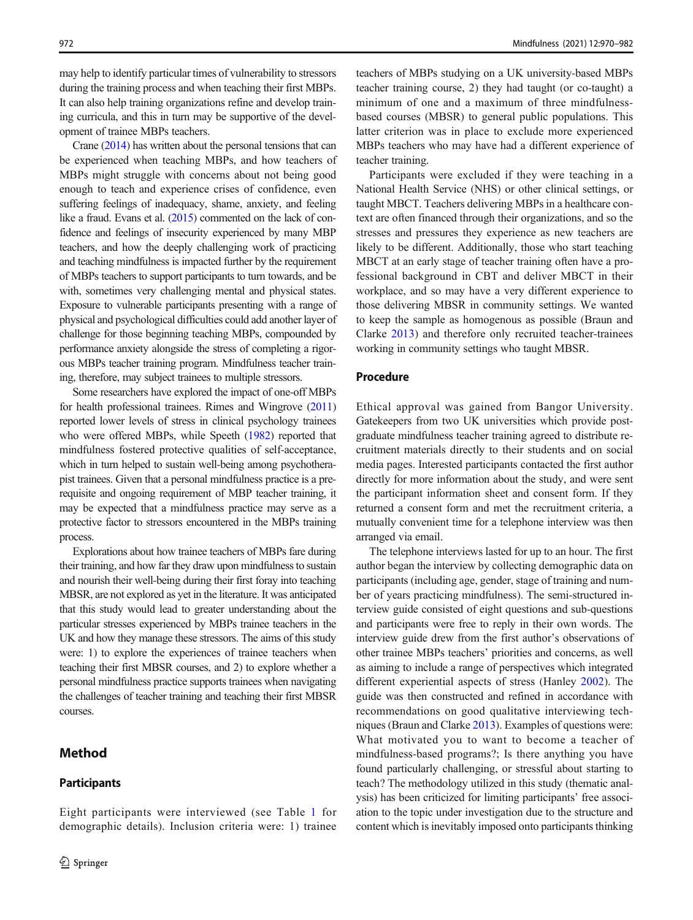may help to identify particular times of vulnerability to stressors during the training process and when teaching their first MBPs. It can also help training organizations refine and develop training curricula, and this in turn may be supportive of the development of trainee MBPs teachers.

Crane [\(2014\)](#page-12-0) has written about the personal tensions that can be experienced when teaching MBPs, and how teachers of MBPs might struggle with concerns about not being good enough to teach and experience crises of confidence, even suffering feelings of inadequacy, shame, anxiety, and feeling like a fraud. Evans et al. [\(2015](#page-12-0)) commented on the lack of confidence and feelings of insecurity experienced by many MBP teachers, and how the deeply challenging work of practicing and teaching mindfulness is impacted further by the requirement of MBPs teachers to support participants to turn towards, and be with, sometimes very challenging mental and physical states. Exposure to vulnerable participants presenting with a range of physical and psychological difficulties could add another layer of challenge for those beginning teaching MBPs, compounded by performance anxiety alongside the stress of completing a rigorous MBPs teacher training program. Mindfulness teacher training, therefore, may subject trainees to multiple stressors.

Some researchers have explored the impact of one-off MBPs for health professional trainees. Rimes and Wingrove ([2011\)](#page-12-0) reported lower levels of stress in clinical psychology trainees who were offered MBPs, while Speeth [\(1982](#page-12-0)) reported that mindfulness fostered protective qualities of self-acceptance, which in turn helped to sustain well-being among psychotherapist trainees. Given that a personal mindfulness practice is a prerequisite and ongoing requirement of MBP teacher training, it may be expected that a mindfulness practice may serve as a protective factor to stressors encountered in the MBPs training process.

Explorations about how trainee teachers of MBPs fare during their training, and how far they draw upon mindfulness to sustain and nourish their well-being during their first foray into teaching MBSR, are not explored as yet in the literature. It was anticipated that this study would lead to greater understanding about the particular stresses experienced by MBPs trainee teachers in the UK and how they manage these stressors. The aims of this study were: 1) to explore the experiences of trainee teachers when teaching their first MBSR courses, and 2) to explore whether a personal mindfulness practice supports trainees when navigating the challenges of teacher training and teaching their first MBSR courses.

Eight participants were interviewed (see Table [1](#page-3-0) for demographic details). Inclusion criteria were: 1) trainee

## Method

## Participants

teachers of MBPs studying on a UK university-based MBPs teacher training course, 2) they had taught (or co-taught) a minimum of one and a maximum of three mindfulnessbased courses (MBSR) to general public populations. This latter criterion was in place to exclude more experienced MBPs teachers who may have had a different experience of teacher training.

Participants were excluded if they were teaching in a National Health Service (NHS) or other clinical settings, or taught MBCT. Teachers delivering MBPs in a healthcare context are often financed through their organizations, and so the stresses and pressures they experience as new teachers are likely to be different. Additionally, those who start teaching MBCT at an early stage of teacher training often have a professional background in CBT and deliver MBCT in their workplace, and so may have a very different experience to those delivering MBSR in community settings. We wanted to keep the sample as homogenous as possible (Braun and Clarke [2013](#page-11-0)) and therefore only recruited teacher-trainees working in community settings who taught MBSR.

#### Procedure

Ethical approval was gained from Bangor University. Gatekeepers from two UK universities which provide postgraduate mindfulness teacher training agreed to distribute recruitment materials directly to their students and on social media pages. Interested participants contacted the first author directly for more information about the study, and were sent the participant information sheet and consent form. If they returned a consent form and met the recruitment criteria, a mutually convenient time for a telephone interview was then arranged via email.

The telephone interviews lasted for up to an hour. The first author began the interview by collecting demographic data on participants (including age, gender, stage of training and number of years practicing mindfulness). The semi-structured interview guide consisted of eight questions and sub-questions and participants were free to reply in their own words. The interview guide drew from the first author's observations of other trainee MBPs teachers' priorities and concerns, as well as aiming to include a range of perspectives which integrated different experiential aspects of stress (Hanley [2002](#page-12-0)). The guide was then constructed and refined in accordance with recommendations on good qualitative interviewing techniques (Braun and Clarke [2013](#page-11-0)). Examples of questions were: What motivated you to want to become a teacher of mindfulness-based programs?; Is there anything you have found particularly challenging, or stressful about starting to teach? The methodology utilized in this study (thematic analysis) has been criticized for limiting participants' free association to the topic under investigation due to the structure and content which is inevitably imposed onto participants thinking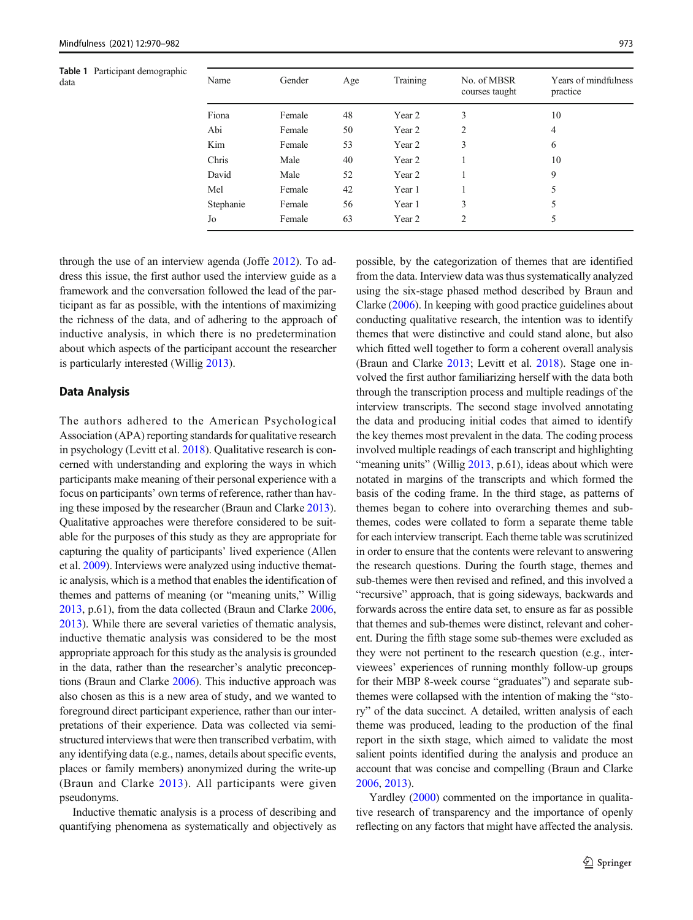<span id="page-3-0"></span>Table 1 Participant demographic

| Table 1 Participant demographic<br>data | Name      | Gender | Age | Training | No. of MBSR<br>courses taught | Years of mindfulness<br>practice |
|-----------------------------------------|-----------|--------|-----|----------|-------------------------------|----------------------------------|
|                                         | Fiona     | Female | 48  | Year 2   | 3                             | 10                               |
|                                         | Abi       | Female | 50  | Year 2   | 2                             | 4                                |
|                                         | Kim       | Female | 53  | Year 2   | 3                             | 6                                |
|                                         | Chris     | Male   | 40  | Year 2   |                               | 10                               |
|                                         | David     | Male   | 52  | Year 2   |                               | 9                                |
|                                         | Mel       | Female | 42  | Year 1   |                               | 5                                |
|                                         | Stephanie | Female | 56  | Year 1   | 3                             | 5                                |
|                                         | Jo        | Female | 63  | Year 2   | 2                             | 5                                |
|                                         |           |        |     |          |                               |                                  |

through the use of an interview agenda (Joffe [2012](#page-12-0)). To address this issue, the first author used the interview guide as a framework and the conversation followed the lead of the participant as far as possible, with the intentions of maximizing the richness of the data, and of adhering to the approach of inductive analysis, in which there is no predetermination about which aspects of the participant account the researcher is particularly interested (Willig [2013\)](#page-12-0).

#### Data Analysis

The authors adhered to the American Psychological Association (APA) reporting standards for qualitative research in psychology (Levitt et al. [2018](#page-12-0)). Qualitative research is concerned with understanding and exploring the ways in which participants make meaning of their personal experience with a focus on participants' own terms of reference, rather than having these imposed by the researcher (Braun and Clarke [2013\)](#page-11-0). Qualitative approaches were therefore considered to be suitable for the purposes of this study as they are appropriate for capturing the quality of participants' lived experience (Allen et al. [2009\)](#page-11-0). Interviews were analyzed using inductive thematic analysis, which is a method that enables the identification of themes and patterns of meaning (or "meaning units," Willig [2013,](#page-12-0) p.61), from the data collected (Braun and Clarke [2006,](#page-11-0) [2013\)](#page-11-0). While there are several varieties of thematic analysis, inductive thematic analysis was considered to be the most appropriate approach for this study as the analysis is grounded in the data, rather than the researcher's analytic preconceptions (Braun and Clarke [2006\)](#page-11-0). This inductive approach was also chosen as this is a new area of study, and we wanted to foreground direct participant experience, rather than our interpretations of their experience. Data was collected via semistructured interviews that were then transcribed verbatim, with any identifying data (e.g., names, details about specific events, places or family members) anonymized during the write-up (Braun and Clarke [2013](#page-11-0)). All participants were given pseudonyms.

Inductive thematic analysis is a process of describing and quantifying phenomena as systematically and objectively as possible, by the categorization of themes that are identified from the data. Interview data was thus systematically analyzed using the six-stage phased method described by Braun and Clarke [\(2006\)](#page-11-0). In keeping with good practice guidelines about conducting qualitative research, the intention was to identify themes that were distinctive and could stand alone, but also which fitted well together to form a coherent overall analysis (Braun and Clarke [2013](#page-11-0); Levitt et al. [2018\)](#page-12-0). Stage one involved the first author familiarizing herself with the data both through the transcription process and multiple readings of the interview transcripts. The second stage involved annotating the data and producing initial codes that aimed to identify the key themes most prevalent in the data. The coding process involved multiple readings of each transcript and highlighting "meaning units" (Willig [2013](#page-12-0), p.61), ideas about which were notated in margins of the transcripts and which formed the basis of the coding frame. In the third stage, as patterns of themes began to cohere into overarching themes and subthemes, codes were collated to form a separate theme table for each interview transcript. Each theme table was scrutinized in order to ensure that the contents were relevant to answering the research questions. During the fourth stage, themes and sub-themes were then revised and refined, and this involved a "recursive" approach, that is going sideways, backwards and forwards across the entire data set, to ensure as far as possible that themes and sub-themes were distinct, relevant and coherent. During the fifth stage some sub-themes were excluded as they were not pertinent to the research question (e.g., interviewees' experiences of running monthly follow-up groups for their MBP 8-week course "graduates") and separate subthemes were collapsed with the intention of making the "story" of the data succinct. A detailed, written analysis of each theme was produced, leading to the production of the final report in the sixth stage, which aimed to validate the most salient points identified during the analysis and produce an account that was concise and compelling (Braun and Clarke [2006,](#page-11-0) [2013](#page-11-0)).

Yardley [\(2000\)](#page-12-0) commented on the importance in qualitative research of transparency and the importance of openly reflecting on any factors that might have affected the analysis.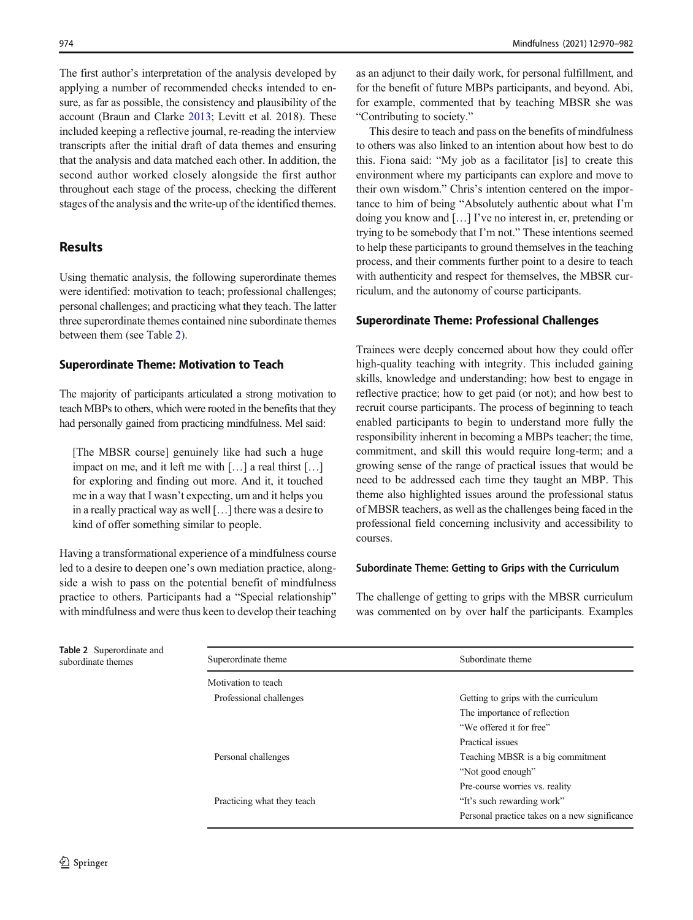The first author's interpretation of the analysis developed by applying a number of recommended checks intended to ensure, as far as possible, the consistency and plausibility of the account (Braun and Clarke [2013](#page-11-0); Levitt et al. 2018). These included keeping a reflective journal, re-reading the interview transcripts after the initial draft of data themes and ensuring that the analysis and data matched each other. In addition, the second author worked closely alongside the first author throughout each stage of the process, checking the different stages of the analysis and the write-up of the identified themes.

# **Results**

Using thematic analysis, the following superordinate themes were identified: motivation to teach; professional challenges; personal challenges; and practicing what they teach. The latter three superordinate themes contained nine subordinate themes between them (see Table 2).

## Superordinate Theme: Motivation to Teach

The majority of participants articulated a strong motivation to teach MBPs to others, which were rooted in the benefits that they had personally gained from practicing mindfulness. Mel said:

[The MBSR course] genuinely like had such a huge impact on me, and it left me with […] a real thirst […] for exploring and finding out more. And it, it touched me in a way that I wasn't expecting, um and it helps you in a really practical way as well […] there was a desire to kind of offer something similar to people.

Having a transformational experience of a mindfulness course led to a desire to deepen one's own mediation practice, alongside a wish to pass on the potential benefit of mindfulness practice to others. Participants had a "Special relationship" with mindfulness and were thus keen to develop their teaching

as an adjunct to their daily work, for personal fulfillment, and for the benefit of future MBPs participants, and beyond. Abi, for example, commented that by teaching MBSR she was "Contributing to society."

This desire to teach and pass on the benefits of mindfulness to others was also linked to an intention about how best to do this. Fiona said: "My job as a facilitator [is] to create this environment where my participants can explore and move to their own wisdom." Chris's intention centered on the importance to him of being "Absolutely authentic about what I'm doing you know and […] I've no interest in, er, pretending or trying to be somebody that I'm not." These intentions seemed to help these participants to ground themselves in the teaching process, and their comments further point to a desire to teach with authenticity and respect for themselves, the MBSR curriculum, and the autonomy of course participants.

## Superordinate Theme: Professional Challenges

Trainees were deeply concerned about how they could offer high-quality teaching with integrity. This included gaining skills, knowledge and understanding; how best to engage in reflective practice; how to get paid (or not); and how best to recruit course participants. The process of beginning to teach enabled participants to begin to understand more fully the responsibility inherent in becoming a MBPs teacher; the time, commitment, and skill this would require long-term; and a growing sense of the range of practical issues that would be need to be addressed each time they taught an MBP. This theme also highlighted issues around the professional status of MBSR teachers, as well as the challenges being faced in the professional field concerning inclusivity and accessibility to courses.

## Subordinate Theme: Getting to Grips with the Curriculum

The challenge of getting to grips with the MBSR curriculum was commented on by over half the participants. Examples

Table 2 Superordinate and subordinate themes

| Superordinate theme        | Subordinate theme                             |  |  |
|----------------------------|-----------------------------------------------|--|--|
| Motivation to teach        |                                               |  |  |
| Professional challenges    | Getting to grips with the curriculum          |  |  |
|                            | The importance of reflection                  |  |  |
|                            | "We offered it for free"                      |  |  |
|                            | Practical issues                              |  |  |
| Personal challenges        | Teaching MBSR is a big commitment             |  |  |
|                            | "Not good enough"                             |  |  |
|                            | Pre-course worries vs. reality                |  |  |
| Practicing what they teach | "It's such rewarding work"                    |  |  |
|                            | Personal practice takes on a new significance |  |  |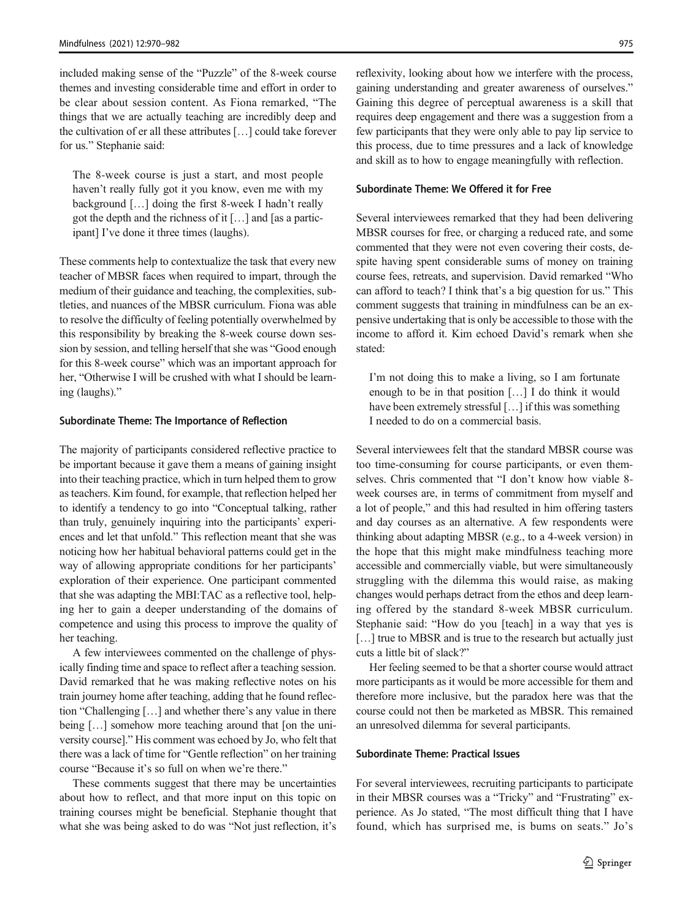included making sense of the "Puzzle" of the 8-week course themes and investing considerable time and effort in order to be clear about session content. As Fiona remarked, "The things that we are actually teaching are incredibly deep and the cultivation of er all these attributes […] could take forever for us." Stephanie said:

The 8-week course is just a start, and most people haven't really fully got it you know, even me with my background […] doing the first 8-week I hadn't really got the depth and the richness of it […] and [as a participant] I've done it three times (laughs).

These comments help to contextualize the task that every new teacher of MBSR faces when required to impart, through the medium of their guidance and teaching, the complexities, subtleties, and nuances of the MBSR curriculum. Fiona was able to resolve the difficulty of feeling potentially overwhelmed by this responsibility by breaking the 8-week course down session by session, and telling herself that she was "Good enough for this 8-week course" which was an important approach for her, "Otherwise I will be crushed with what I should be learning (laughs)."

#### Subordinate Theme: The Importance of Reflection

The majority of participants considered reflective practice to be important because it gave them a means of gaining insight into their teaching practice, which in turn helped them to grow as teachers. Kim found, for example, that reflection helped her to identify a tendency to go into "Conceptual talking, rather than truly, genuinely inquiring into the participants' experiences and let that unfold." This reflection meant that she was noticing how her habitual behavioral patterns could get in the way of allowing appropriate conditions for her participants' exploration of their experience. One participant commented that she was adapting the MBI:TAC as a reflective tool, helping her to gain a deeper understanding of the domains of competence and using this process to improve the quality of her teaching.

A few interviewees commented on the challenge of physically finding time and space to reflect after a teaching session. David remarked that he was making reflective notes on his train journey home after teaching, adding that he found reflection "Challenging […] and whether there's any value in there being [...] somehow more teaching around that [on the university course]." His comment was echoed by Jo, who felt that there was a lack of time for "Gentle reflection" on her training course "Because it's so full on when we're there."

These comments suggest that there may be uncertainties about how to reflect, and that more input on this topic on training courses might be beneficial. Stephanie thought that what she was being asked to do was "Not just reflection, it's

reflexivity, looking about how we interfere with the process, gaining understanding and greater awareness of ourselves." Gaining this degree of perceptual awareness is a skill that requires deep engagement and there was a suggestion from a few participants that they were only able to pay lip service to this process, due to time pressures and a lack of knowledge and skill as to how to engage meaningfully with reflection.

#### Subordinate Theme: We Offered it for Free

Several interviewees remarked that they had been delivering MBSR courses for free, or charging a reduced rate, and some commented that they were not even covering their costs, despite having spent considerable sums of money on training course fees, retreats, and supervision. David remarked "Who can afford to teach? I think that's a big question for us." This comment suggests that training in mindfulness can be an expensive undertaking that is only be accessible to those with the income to afford it. Kim echoed David's remark when she stated:

I'm not doing this to make a living, so I am fortunate enough to be in that position […] I do think it would have been extremely stressful [...] if this was something I needed to do on a commercial basis.

Several interviewees felt that the standard MBSR course was too time-consuming for course participants, or even themselves. Chris commented that "I don't know how viable 8 week courses are, in terms of commitment from myself and a lot of people," and this had resulted in him offering tasters and day courses as an alternative. A few respondents were thinking about adapting MBSR (e.g., to a 4-week version) in the hope that this might make mindfulness teaching more accessible and commercially viable, but were simultaneously struggling with the dilemma this would raise, as making changes would perhaps detract from the ethos and deep learning offered by the standard 8-week MBSR curriculum. Stephanie said: "How do you [teach] in a way that yes is [...] true to MBSR and is true to the research but actually just cuts a little bit of slack?"

Her feeling seemed to be that a shorter course would attract more participants as it would be more accessible for them and therefore more inclusive, but the paradox here was that the course could not then be marketed as MBSR. This remained an unresolved dilemma for several participants.

#### Subordinate Theme: Practical Issues

For several interviewees, recruiting participants to participate in their MBSR courses was a "Tricky" and "Frustrating" experience. As Jo stated, "The most difficult thing that I have found, which has surprised me, is bums on seats." Jo's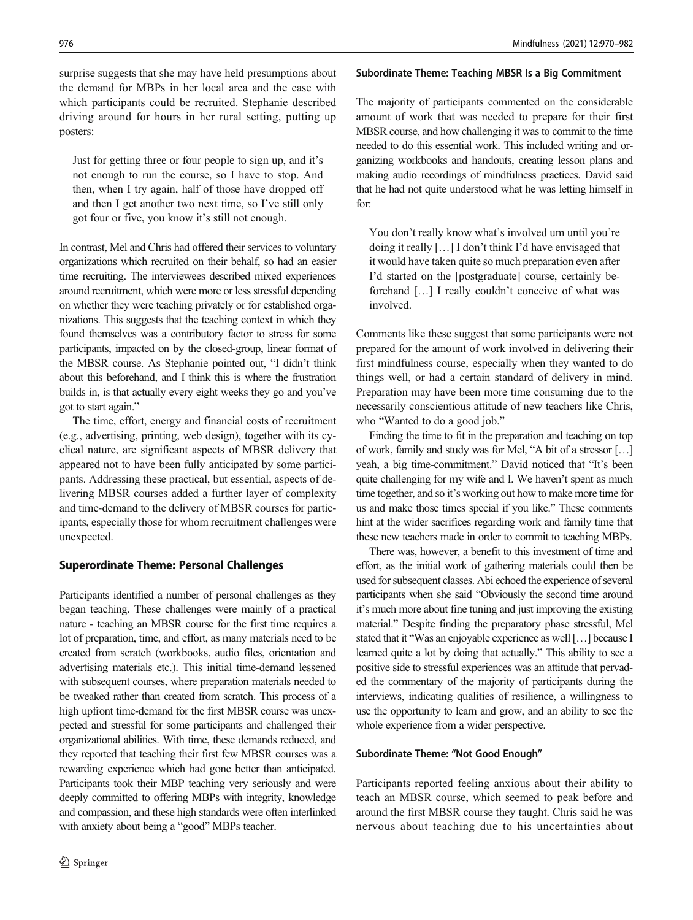surprise suggests that she may have held presumptions about the demand for MBPs in her local area and the ease with which participants could be recruited. Stephanie described driving around for hours in her rural setting, putting up posters:

Just for getting three or four people to sign up, and it's not enough to run the course, so I have to stop. And then, when I try again, half of those have dropped off and then I get another two next time, so I've still only got four or five, you know it's still not enough.

In contrast, Mel and Chris had offered their services to voluntary organizations which recruited on their behalf, so had an easier time recruiting. The interviewees described mixed experiences around recruitment, which were more or less stressful depending on whether they were teaching privately or for established organizations. This suggests that the teaching context in which they found themselves was a contributory factor to stress for some participants, impacted on by the closed-group, linear format of the MBSR course. As Stephanie pointed out, "I didn't think about this beforehand, and I think this is where the frustration builds in, is that actually every eight weeks they go and you've got to start again."

The time, effort, energy and financial costs of recruitment (e.g., advertising, printing, web design), together with its cyclical nature, are significant aspects of MBSR delivery that appeared not to have been fully anticipated by some participants. Addressing these practical, but essential, aspects of delivering MBSR courses added a further layer of complexity and time-demand to the delivery of MBSR courses for participants, especially those for whom recruitment challenges were unexpected.

# Superordinate Theme: Personal Challenges

Participants identified a number of personal challenges as they began teaching. These challenges were mainly of a practical nature - teaching an MBSR course for the first time requires a lot of preparation, time, and effort, as many materials need to be created from scratch (workbooks, audio files, orientation and advertising materials etc.). This initial time-demand lessened with subsequent courses, where preparation materials needed to be tweaked rather than created from scratch. This process of a high upfront time-demand for the first MBSR course was unexpected and stressful for some participants and challenged their organizational abilities. With time, these demands reduced, and they reported that teaching their first few MBSR courses was a rewarding experience which had gone better than anticipated. Participants took their MBP teaching very seriously and were deeply committed to offering MBPs with integrity, knowledge and compassion, and these high standards were often interlinked with anxiety about being a "good" MBPs teacher.

#### Subordinate Theme: Teaching MBSR Is a Big Commitment

The majority of participants commented on the considerable amount of work that was needed to prepare for their first MBSR course, and how challenging it was to commit to the time needed to do this essential work. This included writing and organizing workbooks and handouts, creating lesson plans and making audio recordings of mindfulness practices. David said that he had not quite understood what he was letting himself in for:

You don't really know what's involved um until you're doing it really […] I don't think I'd have envisaged that it would have taken quite so much preparation even after I'd started on the [postgraduate] course, certainly beforehand […] I really couldn't conceive of what was involved.

Comments like these suggest that some participants were not prepared for the amount of work involved in delivering their first mindfulness course, especially when they wanted to do things well, or had a certain standard of delivery in mind. Preparation may have been more time consuming due to the necessarily conscientious attitude of new teachers like Chris, who "Wanted to do a good job."

Finding the time to fit in the preparation and teaching on top of work, family and study was for Mel, "A bit of a stressor […] yeah, a big time-commitment." David noticed that "It's been quite challenging for my wife and I. We haven't spent as much time together, and so it's working out how to make more time for us and make those times special if you like." These comments hint at the wider sacrifices regarding work and family time that these new teachers made in order to commit to teaching MBPs.

There was, however, a benefit to this investment of time and effort, as the initial work of gathering materials could then be used for subsequent classes. Abi echoed the experience of several participants when she said "Obviously the second time around it's much more about fine tuning and just improving the existing material." Despite finding the preparatory phase stressful, Mel stated that it "Was an enjoyable experience as well […] because I learned quite a lot by doing that actually." This ability to see a positive side to stressful experiences was an attitude that pervaded the commentary of the majority of participants during the interviews, indicating qualities of resilience, a willingness to use the opportunity to learn and grow, and an ability to see the whole experience from a wider perspective.

#### Subordinate Theme: "Not Good Enough"

Participants reported feeling anxious about their ability to teach an MBSR course, which seemed to peak before and around the first MBSR course they taught. Chris said he was nervous about teaching due to his uncertainties about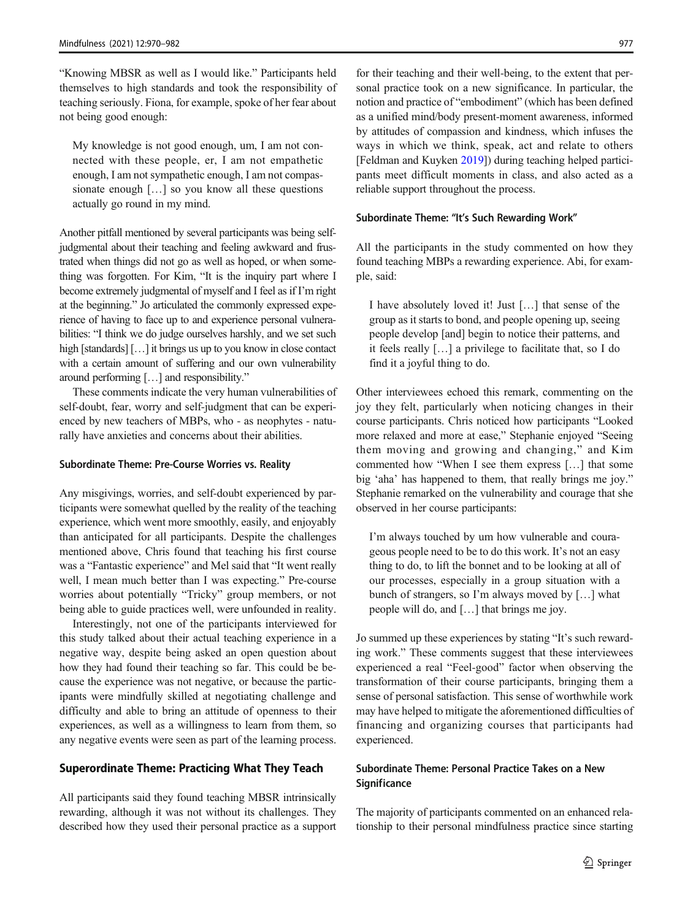"Knowing MBSR as well as I would like." Participants held themselves to high standards and took the responsibility of teaching seriously. Fiona, for example, spoke of her fear about not being good enough:

My knowledge is not good enough, um, I am not connected with these people, er, I am not empathetic enough, I am not sympathetic enough, I am not compassionate enough […] so you know all these questions actually go round in my mind.

Another pitfall mentioned by several participants was being selfjudgmental about their teaching and feeling awkward and frustrated when things did not go as well as hoped, or when something was forgotten. For Kim, "It is the inquiry part where I become extremely judgmental of myself and I feel as if I'm right at the beginning." Jo articulated the commonly expressed experience of having to face up to and experience personal vulnerabilities: "I think we do judge ourselves harshly, and we set such high [standards] [...] it brings us up to you know in close contact with a certain amount of suffering and our own vulnerability around performing […] and responsibility."

These comments indicate the very human vulnerabilities of self-doubt, fear, worry and self-judgment that can be experienced by new teachers of MBPs, who - as neophytes - naturally have anxieties and concerns about their abilities.

#### Subordinate Theme: Pre-Course Worries vs. Reality

Any misgivings, worries, and self-doubt experienced by participants were somewhat quelled by the reality of the teaching experience, which went more smoothly, easily, and enjoyably than anticipated for all participants. Despite the challenges mentioned above, Chris found that teaching his first course was a "Fantastic experience" and Mel said that "It went really well, I mean much better than I was expecting." Pre-course worries about potentially "Tricky" group members, or not being able to guide practices well, were unfounded in reality.

Interestingly, not one of the participants interviewed for this study talked about their actual teaching experience in a negative way, despite being asked an open question about how they had found their teaching so far. This could be because the experience was not negative, or because the participants were mindfully skilled at negotiating challenge and difficulty and able to bring an attitude of openness to their experiences, as well as a willingness to learn from them, so any negative events were seen as part of the learning process.

#### Superordinate Theme: Practicing What They Teach

All participants said they found teaching MBSR intrinsically rewarding, although it was not without its challenges. They described how they used their personal practice as a support

for their teaching and their well-being, to the extent that personal practice took on a new significance. In particular, the notion and practice of "embodiment" (which has been defined as a unified mind/body present-moment awareness, informed by attitudes of compassion and kindness, which infuses the ways in which we think, speak, act and relate to others [Feldman and Kuyken [2019\]](#page-12-0)) during teaching helped participants meet difficult moments in class, and also acted as a reliable support throughout the process.

#### Subordinate Theme: "It's Such Rewarding Work"

All the participants in the study commented on how they found teaching MBPs a rewarding experience. Abi, for example, said:

I have absolutely loved it! Just […] that sense of the group as it starts to bond, and people opening up, seeing people develop [and] begin to notice their patterns, and it feels really […] a privilege to facilitate that, so I do find it a joyful thing to do.

Other interviewees echoed this remark, commenting on the joy they felt, particularly when noticing changes in their course participants. Chris noticed how participants "Looked more relaxed and more at ease," Stephanie enjoyed "Seeing them moving and growing and changing," and Kim commented how "When I see them express […] that some big 'aha' has happened to them, that really brings me joy." Stephanie remarked on the vulnerability and courage that she observed in her course participants:

I'm always touched by um how vulnerable and courageous people need to be to do this work. It's not an easy thing to do, to lift the bonnet and to be looking at all of our processes, especially in a group situation with a bunch of strangers, so I'm always moved by […] what people will do, and […] that brings me joy.

Jo summed up these experiences by stating "It's such rewarding work." These comments suggest that these interviewees experienced a real "Feel-good" factor when observing the transformation of their course participants, bringing them a sense of personal satisfaction. This sense of worthwhile work may have helped to mitigate the aforementioned difficulties of financing and organizing courses that participants had experienced.

# Subordinate Theme: Personal Practice Takes on a New **Significance**

The majority of participants commented on an enhanced relationship to their personal mindfulness practice since starting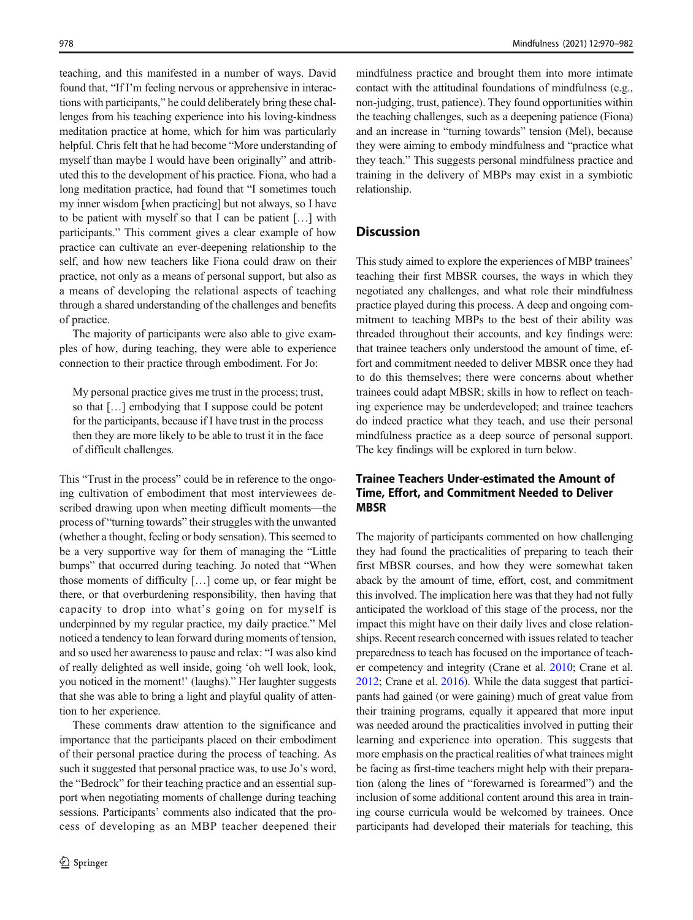teaching, and this manifested in a number of ways. David found that, "If I'm feeling nervous or apprehensive in interactions with participants," he could deliberately bring these challenges from his teaching experience into his loving-kindness meditation practice at home, which for him was particularly helpful. Chris felt that he had become "More understanding of myself than maybe I would have been originally" and attributed this to the development of his practice. Fiona, who had a long meditation practice, had found that "I sometimes touch my inner wisdom [when practicing] but not always, so I have to be patient with myself so that I can be patient […] with participants." This comment gives a clear example of how practice can cultivate an ever-deepening relationship to the self, and how new teachers like Fiona could draw on their practice, not only as a means of personal support, but also as a means of developing the relational aspects of teaching through a shared understanding of the challenges and benefits of practice.

The majority of participants were also able to give examples of how, during teaching, they were able to experience connection to their practice through embodiment. For Jo:

My personal practice gives me trust in the process; trust, so that […] embodying that I suppose could be potent for the participants, because if I have trust in the process then they are more likely to be able to trust it in the face of difficult challenges.

This "Trust in the process" could be in reference to the ongoing cultivation of embodiment that most interviewees described drawing upon when meeting difficult moments—the process of "turning towards" their struggles with the unwanted (whether a thought, feeling or body sensation). This seemed to be a very supportive way for them of managing the "Little bumps" that occurred during teaching. Jo noted that "When those moments of difficulty […] come up, or fear might be there, or that overburdening responsibility, then having that capacity to drop into what's going on for myself is underpinned by my regular practice, my daily practice." Mel noticed a tendency to lean forward during moments of tension, and so used her awareness to pause and relax: "I was also kind of really delighted as well inside, going 'oh well look, look, you noticed in the moment!' (laughs)." Her laughter suggests that she was able to bring a light and playful quality of attention to her experience.

These comments draw attention to the significance and importance that the participants placed on their embodiment of their personal practice during the process of teaching. As such it suggested that personal practice was, to use Jo's word, the "Bedrock" for their teaching practice and an essential support when negotiating moments of challenge during teaching sessions. Participants' comments also indicated that the process of developing as an MBP teacher deepened their

mindfulness practice and brought them into more intimate contact with the attitudinal foundations of mindfulness (e.g., non-judging, trust, patience). They found opportunities within the teaching challenges, such as a deepening patience (Fiona) and an increase in "turning towards" tension (Mel), because they were aiming to embody mindfulness and "practice what they teach." This suggests personal mindfulness practice and training in the delivery of MBPs may exist in a symbiotic relationship.

# **Discussion**

This study aimed to explore the experiences of MBP trainees' teaching their first MBSR courses, the ways in which they negotiated any challenges, and what role their mindfulness practice played during this process. A deep and ongoing commitment to teaching MBPs to the best of their ability was threaded throughout their accounts, and key findings were: that trainee teachers only understood the amount of time, effort and commitment needed to deliver MBSR once they had to do this themselves; there were concerns about whether trainees could adapt MBSR; skills in how to reflect on teaching experience may be underdeveloped; and trainee teachers do indeed practice what they teach, and use their personal mindfulness practice as a deep source of personal support. The key findings will be explored in turn below.

# Trainee Teachers Under-estimated the Amount of Time, Effort, and Commitment Needed to Deliver MBSR

The majority of participants commented on how challenging they had found the practicalities of preparing to teach their first MBSR courses, and how they were somewhat taken aback by the amount of time, effort, cost, and commitment this involved. The implication here was that they had not fully anticipated the workload of this stage of the process, nor the impact this might have on their daily lives and close relationships. Recent research concerned with issues related to teacher preparedness to teach has focused on the importance of teacher competency and integrity (Crane et al. [2010](#page-12-0); Crane et al. [2012;](#page-12-0) Crane et al. [2016\)](#page-12-0). While the data suggest that participants had gained (or were gaining) much of great value from their training programs, equally it appeared that more input was needed around the practicalities involved in putting their learning and experience into operation. This suggests that more emphasis on the practical realities of what trainees might be facing as first-time teachers might help with their preparation (along the lines of "forewarned is forearmed") and the inclusion of some additional content around this area in training course curricula would be welcomed by trainees. Once participants had developed their materials for teaching, this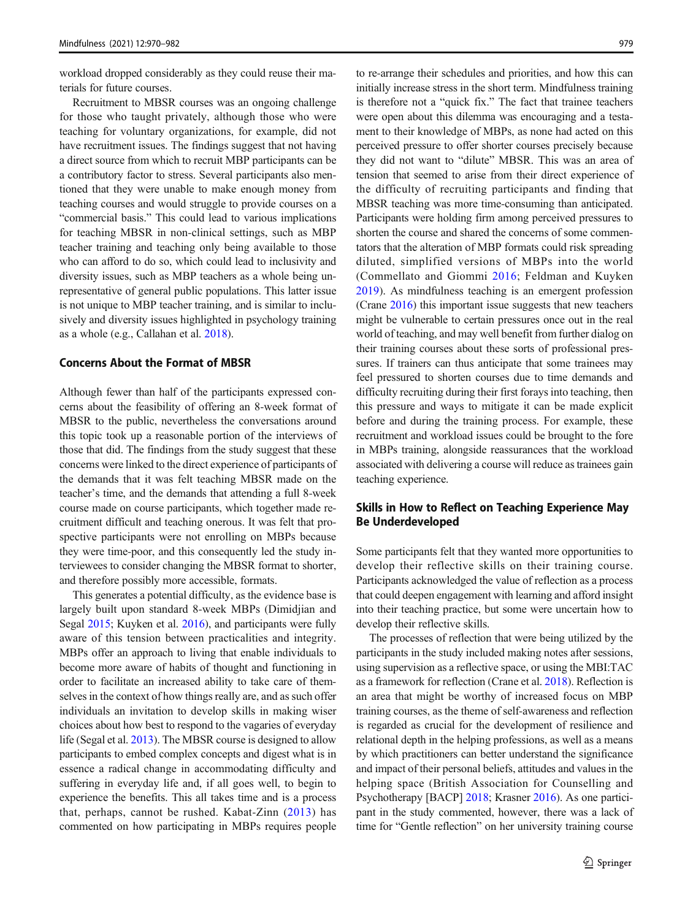workload dropped considerably as they could reuse their materials for future courses.

Recruitment to MBSR courses was an ongoing challenge for those who taught privately, although those who were teaching for voluntary organizations, for example, did not have recruitment issues. The findings suggest that not having a direct source from which to recruit MBP participants can be a contributory factor to stress. Several participants also mentioned that they were unable to make enough money from teaching courses and would struggle to provide courses on a "commercial basis." This could lead to various implications for teaching MBSR in non-clinical settings, such as MBP teacher training and teaching only being available to those who can afford to do so, which could lead to inclusivity and diversity issues, such as MBP teachers as a whole being unrepresentative of general public populations. This latter issue is not unique to MBP teacher training, and is similar to inclusively and diversity issues highlighted in psychology training as a whole (e.g., Callahan et al. [2018](#page-11-0)).

## Concerns About the Format of MBSR

Although fewer than half of the participants expressed concerns about the feasibility of offering an 8-week format of MBSR to the public, nevertheless the conversations around this topic took up a reasonable portion of the interviews of those that did. The findings from the study suggest that these concerns were linked to the direct experience of participants of the demands that it was felt teaching MBSR made on the teacher's time, and the demands that attending a full 8-week course made on course participants, which together made recruitment difficult and teaching onerous. It was felt that prospective participants were not enrolling on MBPs because they were time-poor, and this consequently led the study interviewees to consider changing the MBSR format to shorter, and therefore possibly more accessible, formats.

This generates a potential difficulty, as the evidence base is largely built upon standard 8-week MBPs (Dimidjian and Segal [2015;](#page-12-0) Kuyken et al. [2016](#page-12-0)), and participants were fully aware of this tension between practicalities and integrity. MBPs offer an approach to living that enable individuals to become more aware of habits of thought and functioning in order to facilitate an increased ability to take care of themselves in the context of how things really are, and as such offer individuals an invitation to develop skills in making wiser choices about how best to respond to the vagaries of everyday life (Segal et al. [2013](#page-12-0)). The MBSR course is designed to allow participants to embed complex concepts and digest what is in essence a radical change in accommodating difficulty and suffering in everyday life and, if all goes well, to begin to experience the benefits. This all takes time and is a process that, perhaps, cannot be rushed. Kabat-Zinn [\(2013](#page-12-0)) has commented on how participating in MBPs requires people

to re-arrange their schedules and priorities, and how this can initially increase stress in the short term. Mindfulness training is therefore not a "quick fix." The fact that trainee teachers were open about this dilemma was encouraging and a testament to their knowledge of MBPs, as none had acted on this perceived pressure to offer shorter courses precisely because they did not want to "dilute" MBSR. This was an area of tension that seemed to arise from their direct experience of the difficulty of recruiting participants and finding that MBSR teaching was more time-consuming than anticipated. Participants were holding firm among perceived pressures to shorten the course and shared the concerns of some commentators that the alteration of MBP formats could risk spreading diluted, simplified versions of MBPs into the world (Commellato and Giommi [2016](#page-12-0); Feldman and Kuyken [2019](#page-12-0)). As mindfulness teaching is an emergent profession (Crane [2016\)](#page-12-0) this important issue suggests that new teachers might be vulnerable to certain pressures once out in the real world of teaching, and may well benefit from further dialog on their training courses about these sorts of professional pressures. If trainers can thus anticipate that some trainees may feel pressured to shorten courses due to time demands and difficulty recruiting during their first forays into teaching, then this pressure and ways to mitigate it can be made explicit before and during the training process. For example, these recruitment and workload issues could be brought to the fore in MBPs training, alongside reassurances that the workload associated with delivering a course will reduce as trainees gain teaching experience.

## Skills in How to Reflect on Teaching Experience May Be Underdeveloped

Some participants felt that they wanted more opportunities to develop their reflective skills on their training course. Participants acknowledged the value of reflection as a process that could deepen engagement with learning and afford insight into their teaching practice, but some were uncertain how to develop their reflective skills.

The processes of reflection that were being utilized by the participants in the study included making notes after sessions, using supervision as a reflective space, or using the MBI:TAC as a framework for reflection (Crane et al. [2018\)](#page-12-0). Reflection is an area that might be worthy of increased focus on MBP training courses, as the theme of self-awareness and reflection is regarded as crucial for the development of resilience and relational depth in the helping professions, as well as a means by which practitioners can better understand the significance and impact of their personal beliefs, attitudes and values in the helping space (British Association for Counselling and Psychotherapy [BACP] [2018](#page-11-0); Krasner [2016](#page-12-0)). As one participant in the study commented, however, there was a lack of time for "Gentle reflection" on her university training course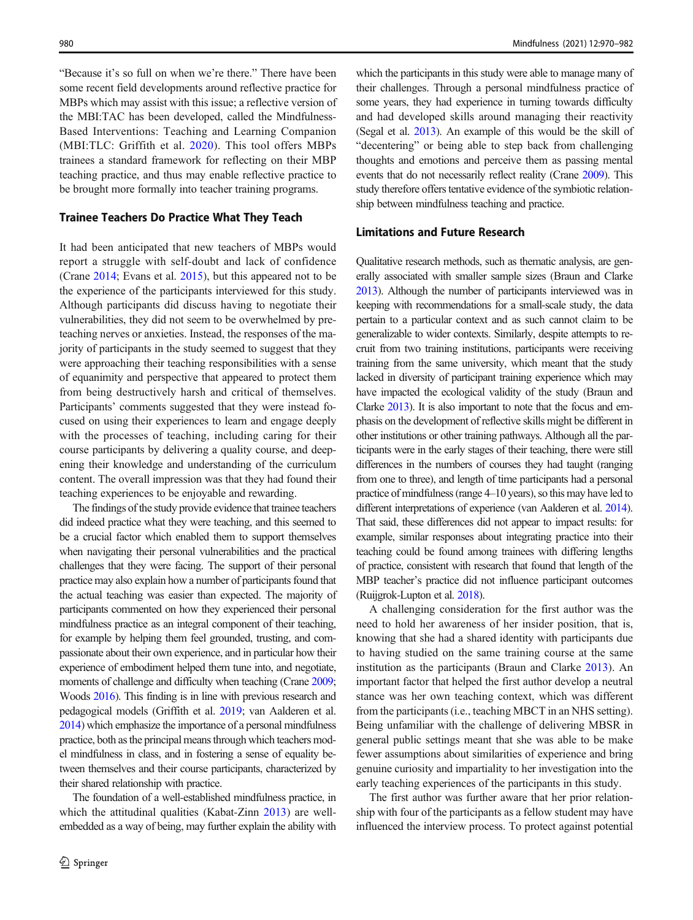"Because it's so full on when we're there." There have been some recent field developments around reflective practice for MBPs which may assist with this issue; a reflective version of the MBI:TAC has been developed, called the Mindfulness-Based Interventions: Teaching and Learning Companion (MBI:TLC: Griffith et al. [2020\)](#page-12-0). This tool offers MBPs trainees a standard framework for reflecting on their MBP teaching practice, and thus may enable reflective practice to be brought more formally into teacher training programs.

### Trainee Teachers Do Practice What They Teach

It had been anticipated that new teachers of MBPs would report a struggle with self-doubt and lack of confidence (Crane [2014;](#page-12-0) Evans et al. [2015\)](#page-12-0), but this appeared not to be the experience of the participants interviewed for this study. Although participants did discuss having to negotiate their vulnerabilities, they did not seem to be overwhelmed by preteaching nerves or anxieties. Instead, the responses of the majority of participants in the study seemed to suggest that they were approaching their teaching responsibilities with a sense of equanimity and perspective that appeared to protect them from being destructively harsh and critical of themselves. Participants' comments suggested that they were instead focused on using their experiences to learn and engage deeply with the processes of teaching, including caring for their course participants by delivering a quality course, and deepening their knowledge and understanding of the curriculum content. The overall impression was that they had found their teaching experiences to be enjoyable and rewarding.

The findings of the study provide evidence that trainee teachers did indeed practice what they were teaching, and this seemed to be a crucial factor which enabled them to support themselves when navigating their personal vulnerabilities and the practical challenges that they were facing. The support of their personal practice may also explain how a number of participants found that the actual teaching was easier than expected. The majority of participants commented on how they experienced their personal mindfulness practice as an integral component of their teaching, for example by helping them feel grounded, trusting, and compassionate about their own experience, and in particular how their experience of embodiment helped them tune into, and negotiate, moments of challenge and difficulty when teaching (Crane [2009](#page-12-0); Woods [2016\)](#page-12-0). This finding is in line with previous research and pedagogical models (Griffith et al. [2019;](#page-12-0) van Aalderen et al. [2014\)](#page-12-0) which emphasize the importance of a personal mindfulness practice, both as the principal means through which teachers model mindfulness in class, and in fostering a sense of equality between themselves and their course participants, characterized by their shared relationship with practice.

The foundation of a well-established mindfulness practice, in which the attitudinal qualities (Kabat-Zinn [2013](#page-12-0)) are wellembedded as a way of being, may further explain the ability with

which the participants in this study were able to manage many of their challenges. Through a personal mindfulness practice of some years, they had experience in turning towards difficulty and had developed skills around managing their reactivity (Segal et al. [2013\)](#page-12-0). An example of this would be the skill of "decentering" or being able to step back from challenging thoughts and emotions and perceive them as passing mental events that do not necessarily reflect reality (Crane [2009](#page-12-0)). This study therefore offers tentative evidence of the symbiotic relationship between mindfulness teaching and practice.

#### Limitations and Future Research

Qualitative research methods, such as thematic analysis, are generally associated with smaller sample sizes (Braun and Clarke [2013\)](#page-11-0). Although the number of participants interviewed was in keeping with recommendations for a small-scale study, the data pertain to a particular context and as such cannot claim to be generalizable to wider contexts. Similarly, despite attempts to recruit from two training institutions, participants were receiving training from the same university, which meant that the study lacked in diversity of participant training experience which may have impacted the ecological validity of the study (Braun and Clarke [2013\)](#page-11-0). It is also important to note that the focus and emphasis on the development of reflective skills might be different in other institutions or other training pathways. Although all the participants were in the early stages of their teaching, there were still differences in the numbers of courses they had taught (ranging from one to three), and length of time participants had a personal practice of mindfulness (range 4–10 years), so this may have led to different interpretations of experience (van Aalderen et al. [2014\)](#page-12-0). That said, these differences did not appear to impact results: for example, similar responses about integrating practice into their teaching could be found among trainees with differing lengths of practice, consistent with research that found that length of the MBP teacher's practice did not influence participant outcomes (Ruijgrok-Lupton et al. [2018\)](#page-12-0).

A challenging consideration for the first author was the need to hold her awareness of her insider position, that is, knowing that she had a shared identity with participants due to having studied on the same training course at the same institution as the participants (Braun and Clarke [2013\)](#page-11-0). An important factor that helped the first author develop a neutral stance was her own teaching context, which was different from the participants (i.e., teaching MBCT in an NHS setting). Being unfamiliar with the challenge of delivering MBSR in general public settings meant that she was able to be make fewer assumptions about similarities of experience and bring genuine curiosity and impartiality to her investigation into the early teaching experiences of the participants in this study.

The first author was further aware that her prior relationship with four of the participants as a fellow student may have influenced the interview process. To protect against potential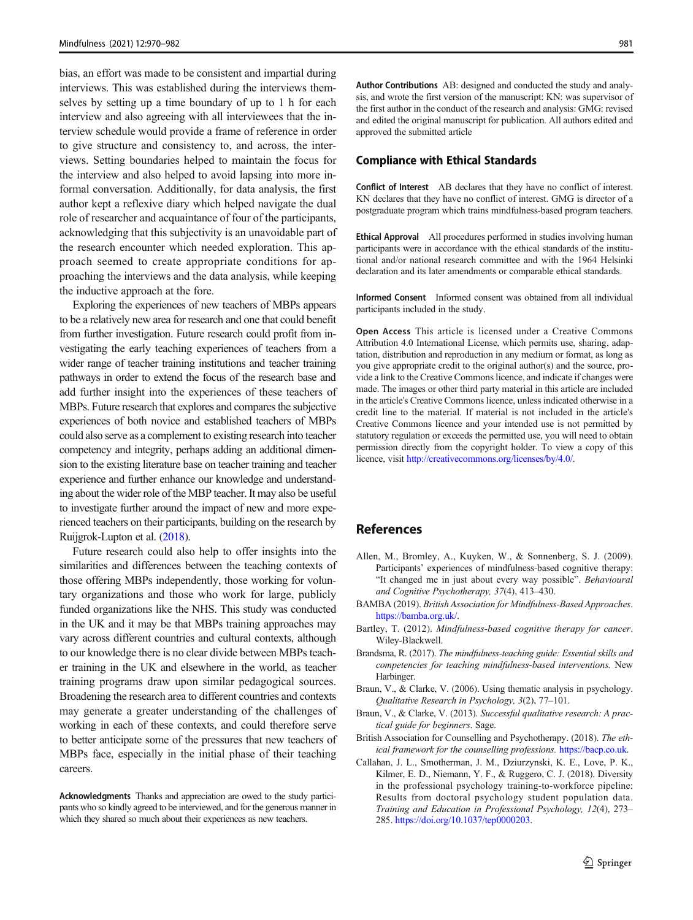<span id="page-11-0"></span>bias, an effort was made to be consistent and impartial during interviews. This was established during the interviews themselves by setting up a time boundary of up to 1 h for each interview and also agreeing with all interviewees that the interview schedule would provide a frame of reference in order to give structure and consistency to, and across, the interviews. Setting boundaries helped to maintain the focus for the interview and also helped to avoid lapsing into more informal conversation. Additionally, for data analysis, the first author kept a reflexive diary which helped navigate the dual role of researcher and acquaintance of four of the participants, acknowledging that this subjectivity is an unavoidable part of the research encounter which needed exploration. This approach seemed to create appropriate conditions for approaching the interviews and the data analysis, while keeping the inductive approach at the fore.

Exploring the experiences of new teachers of MBPs appears to be a relatively new area for research and one that could benefit from further investigation. Future research could profit from investigating the early teaching experiences of teachers from a wider range of teacher training institutions and teacher training pathways in order to extend the focus of the research base and add further insight into the experiences of these teachers of MBPs. Future research that explores and compares the subjective experiences of both novice and established teachers of MBPs could also serve as a complement to existing research into teacher competency and integrity, perhaps adding an additional dimension to the existing literature base on teacher training and teacher experience and further enhance our knowledge and understanding about the wider role of the MBP teacher. It may also be useful to investigate further around the impact of new and more experienced teachers on their participants, building on the research by Ruijgrok-Lupton et al. [\(2018\)](#page-12-0).

Future research could also help to offer insights into the similarities and differences between the teaching contexts of those offering MBPs independently, those working for voluntary organizations and those who work for large, publicly funded organizations like the NHS. This study was conducted in the UK and it may be that MBPs training approaches may vary across different countries and cultural contexts, although to our knowledge there is no clear divide between MBPs teacher training in the UK and elsewhere in the world, as teacher training programs draw upon similar pedagogical sources. Broadening the research area to different countries and contexts may generate a greater understanding of the challenges of working in each of these contexts, and could therefore serve to better anticipate some of the pressures that new teachers of MBPs face, especially in the initial phase of their teaching careers.

Acknowledgments Thanks and appreciation are owed to the study participants who so kindly agreed to be interviewed, and for the generous manner in which they shared so much about their experiences as new teachers.

Author Contributions AB: designed and conducted the study and analysis, and wrote the first version of the manuscript: KN: was supervisor of the first author in the conduct of the research and analysis: GMG: revised and edited the original manuscript for publication. All authors edited and approved the submitted article

#### Compliance with Ethical Standards

Conflict of Interest AB declares that they have no conflict of interest. KN declares that they have no conflict of interest. GMG is director of a postgraduate program which trains mindfulness-based program teachers.

Ethical Approval All procedures performed in studies involving human participants were in accordance with the ethical standards of the institutional and/or national research committee and with the 1964 Helsinki declaration and its later amendments or comparable ethical standards.

Informed Consent Informed consent was obtained from all individual participants included in the study.

Open Access This article is licensed under a Creative Commons Attribution 4.0 International License, which permits use, sharing, adaptation, distribution and reproduction in any medium or format, as long as you give appropriate credit to the original author(s) and the source, provide a link to the Creative Commons licence, and indicate if changes were made. The images or other third party material in this article are included in the article's Creative Commons licence, unless indicated otherwise in a credit line to the material. If material is not included in the article's Creative Commons licence and your intended use is not permitted by statutory regulation or exceeds the permitted use, you will need to obtain permission directly from the copyright holder. To view a copy of this licence, visit [http://creativecommons.org/licenses/by/4.0/](https://doi.org/).

## References

- Allen, M., Bromley, A., Kuyken, W., & Sonnenberg, S. J. (2009). Participants' experiences of mindfulness-based cognitive therapy: "It changed me in just about every way possible". Behavioural and Cognitive Psychotherapy, 37(4), 413–430.
- BAMBA (2019). British Association for Mindfulness-Based Approaches. [https://bamba.org.uk/.](https://bamba.org.uk/)
- Bartley, T. (2012). Mindfulness-based cognitive therapy for cancer. Wiley-Blackwell.
- Brandsma, R. (2017). The mindfulness-teaching guide: Essential skills and competencies for teaching mindfulness-based interventions. New Harbinger.
- Braun, V., & Clarke, V. (2006). Using thematic analysis in psychology. Qualitative Research in Psychology, 3(2), 77–101.
- Braun, V., & Clarke, V. (2013). Successful qualitative research: A practical guide for beginners. Sage.
- British Association for Counselling and Psychotherapy. (2018). The ethical framework for the counselling professions. [https://bacp.co.uk.](https://bacp.co.uk)
- Callahan, J. L., Smotherman, J. M., Dziurzynski, K. E., Love, P. K., Kilmer, E. D., Niemann, Y. F., & Ruggero, C. J. (2018). Diversity in the professional psychology training-to-workforce pipeline: Results from doctoral psychology student population data. Training and Education in Professional Psychology, 12(4), 273– 285. [https://doi.org/10.1037/tep0000203.](https://doi.org/10.1037/tep0000203)